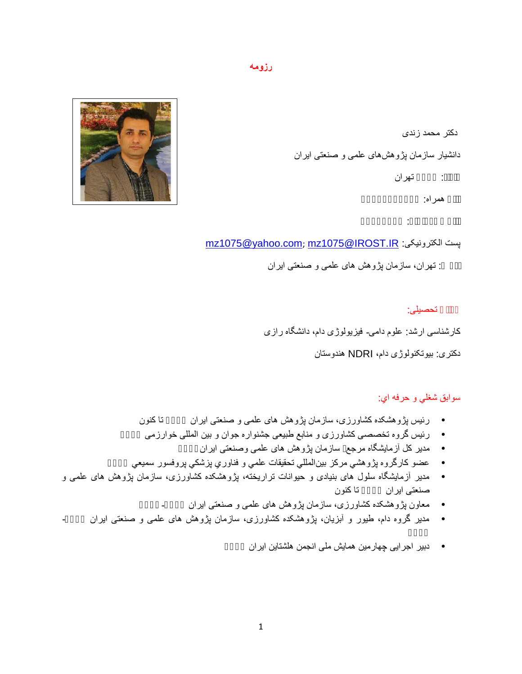#### **رزومھ**

دکتر محمد زندی دانشیار سازمان پژوھشھای علمی و صنعتی ایران :<br>همراه:<br>پست الکترونیکی: <u>mz1075@yahoo.com; mz1075@IROST.IR</u><br>پست الکترونیکی: mz1075@yahoo.com; mz1075@IROST.IR



آدرس: تھران، سازمان پژوھش ھای علمی و صنعتی ایران

<mark>تحصیلی:</mark><br>کارشناسی ارشد: علوم دامی- فیزیولوژی دام، دانشگاه رازی

دکتری: بیوتکنولوژی دام، NDRI ھندوستان

سوابق شغلي و حرفھ اي:

- 
- رئیس پژوهشکده کشاورزی، سازمان پژوهش های علمی و صنعتی ایران<br>• رئیس گروه تخصصی کشاورزی و منابع طبیعی جشنواره جوان و بین المللی خوارزمی<br>• مدیر کل آزمایشگاه مرجع سازمان پژوهش های علمی وصنعتی ایران<br>• عضو کارگروه
	-
	-
- صنعتی ایران <sup>١٣٩٣</sup> تا کنون مدیر آزمایشگاه سلول ھای بنیادی و حیوانات تراریختھ، پژوھشکده کشاورزی، سازمان پژوھش ھای علمی و
	- معاون پژوھشکده کشاورزی، سازمان پژوھش ھای علمی و صنعتی ایران -١٣٩٢ ١٣٩٣
- ١٣٩٢ مدیر گروه دام، طیور و آبزیان، پژوھشکده کشاورزی، سازمان پژوھش ھای علمی و صنعتی ایران -١٣٩١
	- دبیر اجرایی چھارمین ھمایش ملی انجمن ھلشتاین ایران ١٣٩٢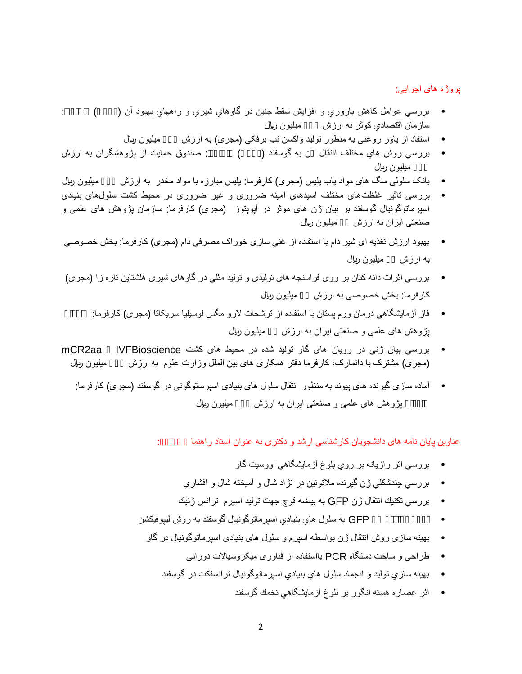### پروژه ھای اجرایی:

- بررسي عوامل كاھش باروري و افزایش سقط جنین در گاوھاي شیري و راھھاي بھبود آن ( )<br>سازمان اقتصادي كوثر به ارزش
	- استفاد از یاور روغنی به منظور تولید واکسن تب برفکی (مجری) به ارزش میلیون ریال
- بررسي روش هاي مختلف انتقال ن به گوسفند ( )<br>میلیون ریال<br>• بانک سلولی سگ های مواد یاب پلیس (مجری) کارفرما: پلیس مبارزه با مواد مخدر به ارزش میلیون ریال
- 
- بررسی تاثیر غلظتھای مختلف اسیدھای آمینھ ضروری و غیر ضروری در محیط کشت سلولھای بنیادی اسپرماتوگونیال گوسفند بر بیان ژن ھای موثر در آپوپتوز (مجری) کارفرما: سازمان پژوھش ھای علمی و صنعتی ایران بھ ارزش میلیون ریال
- بھبود ارزش تغذیه ای شیر دام با استفاده از غنی سازی خور اک مصرفی دام (مجری) کارفرما: بخش خصوصی<br>به ار ز ش مبلبون ریال
- بررسی اثرات دانه کتان بر روی فراسنجه های تولیدی و تولید مثلی در گاوهای شیری هلشتاین تازه زا (مجری)<br>کارفرما: بخش خصوصی به ارزش میلیون ریال
	- فاز آزمایشگاهی درمان ورم پستان با استفاده از ترشحات لارو مگس لوسیلیا سریکاتا (مجری) کارفرما:<br>بژوهش های علمی و صنعتی ایران به ارزش میلیون ریال
- (مجری) مشترک با دانمارک، کارفرما دفتر ھمکاری ھای بین الملل وزارت علوم بھ ارزش <sup>٢٠</sup> میلیون ریال بررسی بیان ژنی در رویان ھای گاو تولید شده در محیط ھای کشت IVFBioscience و aa2mCR
	- آماده سازی گیرنده های پیوند به منظور انتقال سلول های بنیادی اسپرماتوگونی در گوسفند (مجری) کارفرما:<br>بڑوهش های علمی و صنعتی ایران به ارزش میلیون ریال

عناوین پایان نامه های دانشجویان کارشناسی ارشد و دکتری به عنوان استاد راهنما

- 
- 
- 
- بررسي اثر رازيانه بر روي بلوغ آزمايشگاهي اووسيت گاو<br>• بررسي چندشكلي ژن گيرنده ملاتونين در نژاد شال و آميخته شال و افشاري<br>• بررسي تكنيك انتقال ژن GFP به بيضه قوچ جهت توليد اسپرم ترانس ژنيك<br>•
	- طراحی و ساخت دستگاه PCR بااستفاده از فناوری میکروسیالات دورانی بھینھ سازی روش انتقال ژن بواسطھ اسپرم و سلول ھای بنیادی اسپرماتوگونیال در گاو
		-
		- بھینھ سازي تولید و انجماد سلول ھاي بنیادي اسپرماتوگونیال ترانسفكت در گوسفند
			- اثر عصاره ھستھ انگور بر بلوغ آزمایشگاھي تخمك گوسفند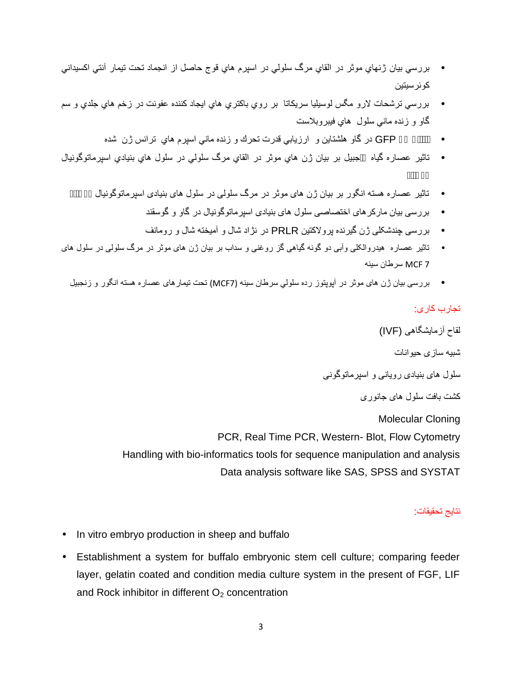- بررسي بيان ژنھاي موثر در القاي مرگ سلولي در اسپرم ھاي قوج حاصل از انجماد تحت تيمار آنتي اكسيداني<br>كوئر سبتين
- بررسي ترشحات لارو مگس لوسیلیا سریکاتا بر روي باکتري ھاي ایجاد کننده عفونت در زخم ھاي جلدي و سم<br>گاو و زنده ماني سلول هاي فيبروبلاست
	- انتقال ژن GFP در گاو ھلشتاین و ارزیابي قدرت تحرك و زنده ماني اسپرم ھاي ترانس ژن شده
- تاثیر عصاره گیاه جبیل بر بیان ژن ھاي موثر در القاي مرگ سلولي در سلول ھاي بنیادي اسپرماتوگونیال
	- تاثیر عصاره ھستھ انگور بر بیان ژن ھای موثر در مرگ سلولی در سلول ھای بنیادی اسپرماتوگونیال گوسفند
		- بررسی چندشکلی ژن گیرنده پرولاکتین PRLR در نژاد شال و آمیختھ شال و رومانف بررسی بیان مارکرھای اختصاصی سلول ھای بنیادی اسپرماتوگونیال در گاو و گوسقند
		-
- تاثیر عصاره ھیدروالکلی وآبی دو گونھ گیاھی گز روغنی و سداب بر بیان ژن ھای موثر در مرگ سلولی در سلول ھای 7 MCF سرطان سینھ
	- بررسی بیان ژن ھای موثر در آپوپتوز رده سلولي سرطان سینھ (7MCF (تحت تیمارھای عصاره ھستھ انگور و زنجبیل

#### تجارب کاری:

لقاح آزمایشگاھی (IVF( شبیھ سازی حیوانات سلول ھای بنیادی رویانی و اسپرماتوگونی کشت بافت سلول ھای جانوری Molecular Cloning PCR, Real Time PCR, Western- Blot, Flow Cytometry Handling with bio-informatics tools for sequence manipulation and analysis Data analysis software like SAS, SPSS and SYSTAT

#### نتایج تحقیقات:

- In vitro embryo production in sheep and buffalo
- Establishment a system for buffalo embryonic stem cell culture; comparing feeder layer, gelatin coated and condition media culture system in the present of FGF, LIF and Rock inhibitor in different  $O<sub>2</sub>$  concentration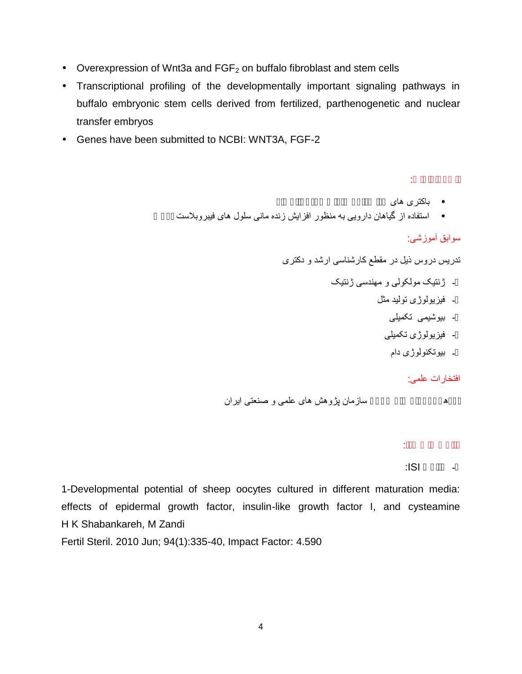- Overexpression of Wnt3a and  $FGF<sub>2</sub>$  on buffalo fibroblast and stem cells
- Transcriptional profiling of the developmentally important signaling pathways in buffalo embryonic stem cells derived from fertilized, parthenogenetic and nuclear transfer embryos
- Genes have been submitted to NCBI: WNT3A, FGF-2

- 
- استفاده از گیاھان دارویی بھ منظور افزایش زنده مانی سلول ھای فیبروبلاست پوست باکتری ھای جدا شده از عفونت ورم پستان گاو ثبت اختراعات:

## سوابق آموزشی:

تدریس دروس ذیل در مقطع کارشناسی ارشد و دکتری

- ژنتیک مولکولی و مهندسی ژنتیک<br>- فیزیولوژی تولید مثل<br>- بیوشیمی تکمیلی
	- -
		- فیزیولوژی تکمیلی<br>- بیوتکنولوژی دام
			-

افتخارات علمی:

پژوھشگر برتر سال ١٣٩۶ سازمان پژوھش ھای علمی و صنعتی ایران

مقالات چاپ شده:

 $|S|$ 

1-Developmental potential of sheep oocytes cultured in different maturation media: effects of epidermal growth factor, insulin-like growth factor I, and cysteamine H K Shabankareh, M Zandi

Fertil Steril. 2010 Jun; 94(1):335-40, Impact Factor: 4.590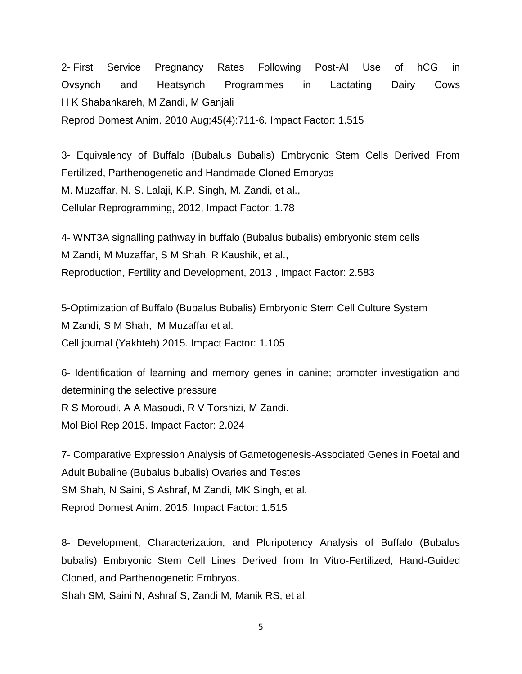2- First Service Pregnancy Rates Following Post-AI Use of hCG in Ovsynch and Heatsynch Programmes in Lactating Dairy Cows H K Shabankareh, M Zandi, M Ganjali Reprod Domest Anim. 2010 Aug;45(4):711-6. Impact Factor: 1.515

3- Equivalency of Buffalo (Bubalus Bubalis) Embryonic Stem Cells Derived From Fertilized, Parthenogenetic and Handmade Cloned Embryos M. Muzaffar, N. S. Lalaji, K.P. Singh, M. Zandi, et al., Cellular Reprogramming, 2012, Impact Factor: 1.78

4- WNT3A signalling pathway in buffalo (Bubalus bubalis) embryonic stem cells M Zandi, M Muzaffar, S M Shah, R Kaushik, et al., Reproduction, Fertility and Development, 2013 , Impact Factor: 2.583

5-Optimization of Buffalo (Bubalus Bubalis) Embryonic Stem Cell Culture System M Zandi, S M Shah, M Muzaffar et al. Cell journal (Yakhteh) 2015. Impact Factor: 1.105

6- Identification of learning and memory genes in canine; promoter investigation and determining the selective pressure R S Moroudi, A A Masoudi, R V Torshizi, M Zandi. Mol Biol Rep 2015. Impact Factor: 2.024

7- Comparative Expression Analysis of Gametogenesis-Associated Genes in Foetal and Adult Bubaline (Bubalus bubalis) Ovaries and Testes SM Shah, N Saini, S Ashraf, M Zandi, MK Singh, et al. Reprod Domest Anim. 2015. Impact Factor: 1.515

8- Development, Characterization, and Pluripotency Analysis of Buffalo (Bubalus bubalis) Embryonic Stem Cell Lines Derived from In Vitro-Fertilized, Hand-Guided Cloned, and Parthenogenetic Embryos.

Shah SM, Saini N, Ashraf S, Zandi M, Manik RS, et al.

5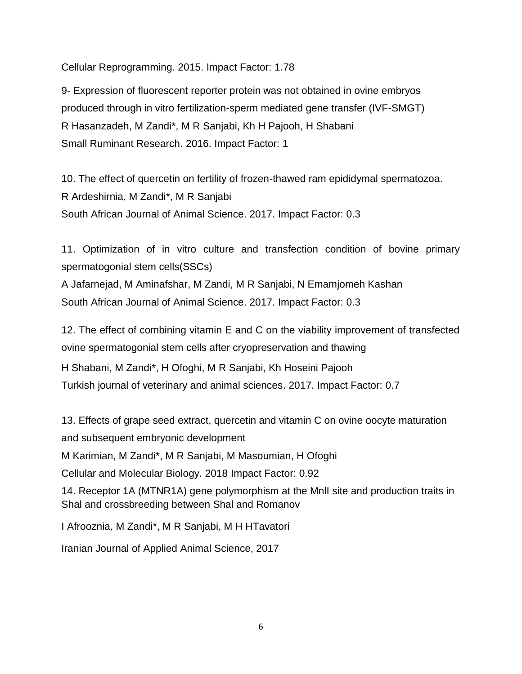Cellular Reprogramming. 2015. Impact Factor: 1.78

9- Expression of fluorescent reporter protein was not obtained in ovine embryos produced through in vitro fertilization-sperm mediated gene transfer (IVF-SMGT) R Hasanzadeh, M Zandi\*, M R Sanjabi, Kh H Pajooh, H Shabani Small Ruminant Research. 2016. Impact Factor: 1

10. The effect of quercetin on fertility of frozen-thawed ram epididymal spermatozoa. R Ardeshirnia, M Zandi\*, M R Sanjabi South African Journal of Animal Science. 2017. Impact Factor: 0.3

11. Optimization of in vitro culture and transfection condition of bovine primary spermatogonial stem cells(SSCs)

A Jafarnejad, M Aminafshar, M Zandi, M R Sanjabi, N Emamjomeh Kashan South African Journal of Animal Science. 2017. Impact Factor: 0.3

12. The effect of combining vitamin E and C on the viability improvement of transfected ovine spermatogonial stem cells after cryopreservation and thawing

H Shabani, M Zandi\*, H Ofoghi, M R Sanjabi, Kh Hoseini Pajooh

Turkish journal of veterinary and animal sciences. 2017. Impact Factor: 0.7

13. Effects of grape seed extract, quercetin and vitamin C on ovine oocyte maturation and subsequent embryonic development M Karimian, M Zandi\*, M R Sanjabi, M Masoumian, H Ofoghi Cellular and Molecular Biology. 2018 Impact Factor: 0.92 14. Receptor 1A (MTNR1A) gene polymorphism at the MnlI site and production traits in Shal and crossbreeding between Shal and Romanov I Afrooznia, M Zandi\*, M R Sanjabi, M H HTavatori

Iranian Journal of Applied Animal Science, 2017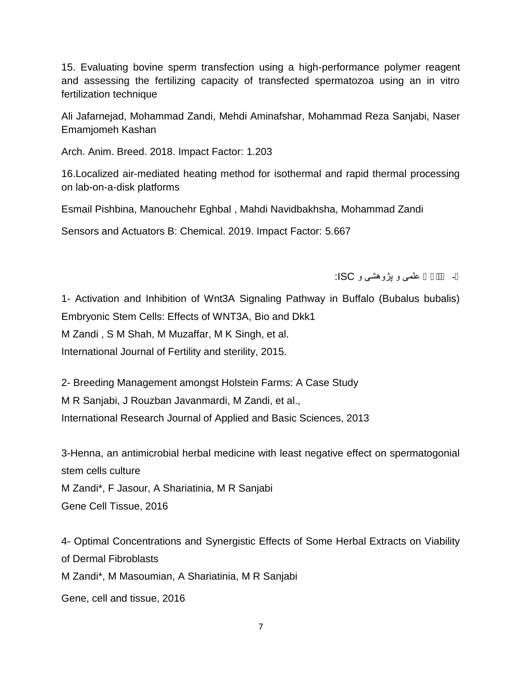15. Evaluating bovine sperm transfection using a high-performance polymer reagent and assessing the fertilizing capacity of transfected spermatozoa using an in vitro fertilization technique

Ali Jafarnejad, Mohammad Zandi, Mehdi Aminafshar, Mohammad Reza Sanjabi, Naser Emamjomeh Kashan

Arch. Anim. Breed. 2018. Impact Factor: 1.203

16.Localized air-mediated heating method for isothermal and rapid thermal processing on lab-on-a-disk platforms

Esmail Pishbina, Manouchehr Eghbal , Mahdi Navidbakhsha, Mohammad Zandi

Sensors and Actuators B: Chemical. 2019. Impact Factor: 5.667

# :ISC و پژوھشی و علمی مقالات -

1- Activation and Inhibition of Wnt3A Signaling Pathway in Buffalo (Bubalus bubalis) Embryonic Stem Cells: Effects of WNT3A, Bio and Dkk1

M Zandi , S M Shah, M Muzaffar, M K Singh, et al.

International Journal of Fertility and sterility, 2015.

2- Breeding Management amongst Holstein Farms: A Case Study

M R Sanjabi, J Rouzban Javanmardi, M Zandi, et al.,

International Research Journal of Applied and Basic Sciences, 2013

3-Henna, an antimicrobial herbal medicine with least negative effect on spermatogonial stem cells culture

M Zandi\*, F Jasour, A Shariatinia, M R Sanjabi

Gene Cell Tissue, 2016

4- Optimal Concentrations and Synergistic Effects of Some Herbal Extracts on Viability of Dermal Fibroblasts M Zandi\*, M Masoumian, A Shariatinia, M R Sanjabi Gene, cell and tissue, 2016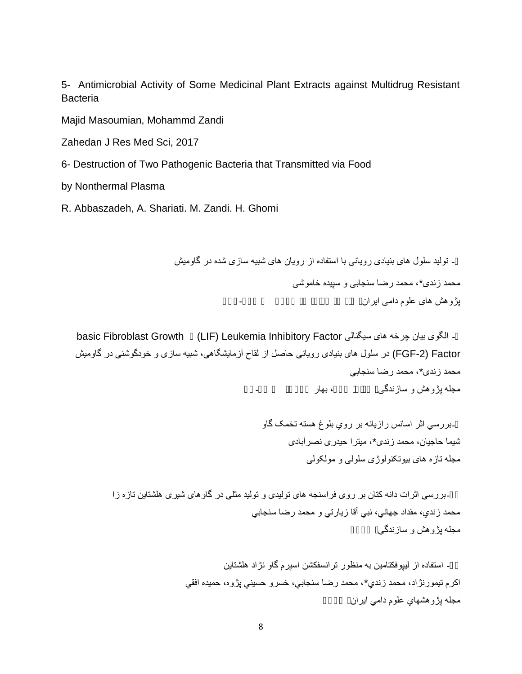5- Antimicrobial Activity of Some Medicinal Plant Extracts against Multidrug Resistant **Bacteria** 

Majid Masoumian, Mohammd Zandi

Zahedan J Res Med Sci, 2017

6- Destruction of Two Pathogenic Bacteria that Transmitted via Food

by Nonthermal Plasma

R. Abbaszadeh, A. Shariati. M. Zandi. H. Ghomi

- تولید سلول های بنیادی رویانی با استفاده از رویان های شبیه سازی شده در گاومیش<br>محمد زندی\*، محمد رضا سنجابی و سپیده خاموشی<br>بژ و هش های علو م دامی ابر ان

- الگوی بیان چرخه های سیگنالی basic Fibroblast Growth (LIF) Leukemia Inhibitory Factor<br>FGF-2) Factor (در سلول های بنیادی رویانی حاصل از لقاح آزمایشگاهی، شبیه سازی و خودگوشنی در گاومیش محمد زندی\*، محمد رضا سنجابی<br>مجله بژ و هش و ساز ندگی

> ۔بررسي اثر اسانس رازیانه بر روي بلوغ هسته تخمک گاو<br>شیما حاجیان، محمد ز ندی\*، میتر ا حیدر ی نصر آبادی مجلھ تازه ھای بیوتکنولوژی سلولی و مولکولی

-بررسی اثرات دانه کتان بر روی فراسنجه های توليدی و توليد مثلی در گاوهای شيری هلشتاين تازه زا<br>محمد زندي، مقداد جهاني، نبي آقا زيارتي و محمد رضا سنجابي<br>مجله بڑ و هش و ساز ندگی

- استفاده از ليپوفكتامين به منظور ترانسفكشن اسپرم گاو نژاد هلشتاين<br>اكرم تيمورنژاد، محمد زندي\*، محمد رضا سنجابي، خسرو حسيني پژوه، حميده افقي<br>مجله پژوهشهای علوم دامی ايران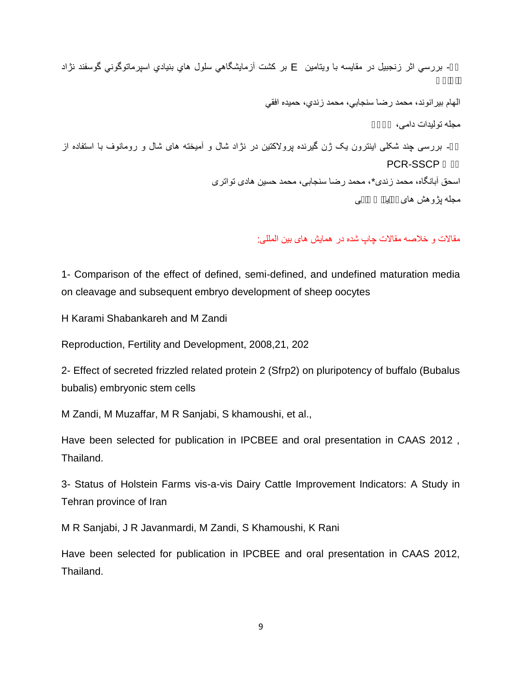- بررسي اثر زنجبيل در مقايسه با ويتامين E بر كشت آزمايشگاهي سلول هاي بنيادي اسپرماتوگوني گوسفند نژاد<br>الهام بيرانوند، محمد رضا سنجابي، محمد زندي، حميده افقي<br>مجله توليدات دامي،

ـ بررسی چند شکلی اینترون یک ژن گیرنده پرولاکتین در نژاد شال و آمیخته های شال و رومانوف با استفاده از<br>اسحق آبانگاه، محمد زندی\*، محمد رضا سنجابی، محمد حسین هادی تواتری<br>مجله ب<u>ژوهش های به سی</u>

مقالات و خلاصھ مقالات چاپ شده در ھمایش ھای بین المللی:

1- Comparison of the effect of defined, semi-defined, and undefined maturation media on cleavage and subsequent embryo development of sheep oocytes

H Karami Shabankareh and M Zandi

Reproduction, Fertility and Development, 2008,21, 202

2- Effect of secreted frizzled related protein 2 (Sfrp2) on pluripotency of buffalo (Bubalus bubalis) embryonic stem cells

M Zandi, M Muzaffar, M R Sanjabi, S khamoushi, et al.,

Have been selected for publication in IPCBEE and oral presentation in CAAS 2012 , Thailand.

3- Status of Holstein Farms vis-a-vis Dairy Cattle Improvement Indicators: A Study in Tehran province of Iran

M R Sanjabi, J R Javanmardi, M Zandi, S Khamoushi, K Rani

Have been selected for publication in IPCBEE and oral presentation in CAAS 2012, Thailand.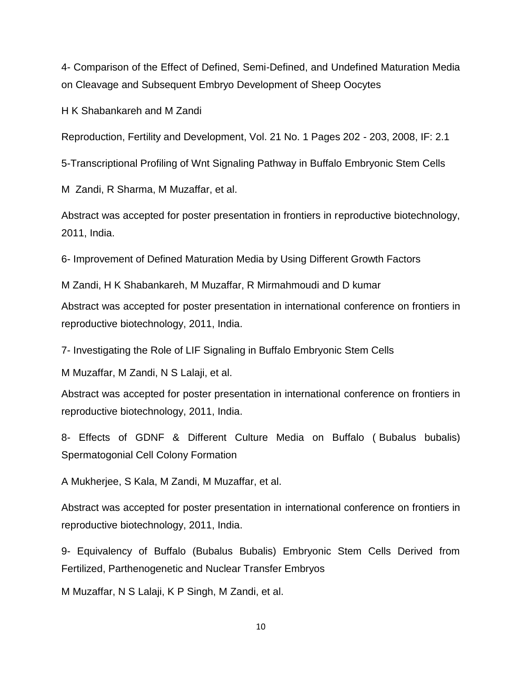4- Comparison of the Effect of Defined, Semi-Defined, and Undefined Maturation Media on Cleavage and Subsequent Embryo Development of Sheep Oocytes

H K Shabankareh and M Zandi

Reproduction, Fertility and Development, Vol. 21 No. 1 Pages 202 - 203, 2008, IF: 2.1

5-Transcriptional Profiling of Wnt Signaling Pathway in Buffalo Embryonic Stem Cells

M Zandi, R Sharma, M Muzaffar, et al.

Abstract was accepted for poster presentation in frontiers in reproductive biotechnology, 2011, India.

6- Improvement of Defined Maturation Media by Using Different Growth Factors

M Zandi, H K Shabankareh, M Muzaffar, R Mirmahmoudi and D kumar Abstract was accepted for poster presentation in international conference on frontiers in reproductive biotechnology, 2011, India.

7- Investigating the Role of LIF Signaling in Buffalo Embryonic Stem Cells

M Muzaffar, M Zandi, N S Lalaji, et al.

Abstract was accepted for poster presentation in international conference on frontiers in reproductive biotechnology, 2011, India.

8- Effects of GDNF & Different Culture Media on Buffalo ( Bubalus bubalis) Spermatogonial Cell Colony Formation

A Mukherjee, S Kala, M Zandi, M Muzaffar, et al.

Abstract was accepted for poster presentation in international conference on frontiers in reproductive biotechnology, 2011, India.

9- Equivalency of Buffalo (Bubalus Bubalis) Embryonic Stem Cells Derived from Fertilized, Parthenogenetic and Nuclear Transfer Embryos

M Muzaffar, N S Lalaji, K P Singh, M Zandi, et al.

10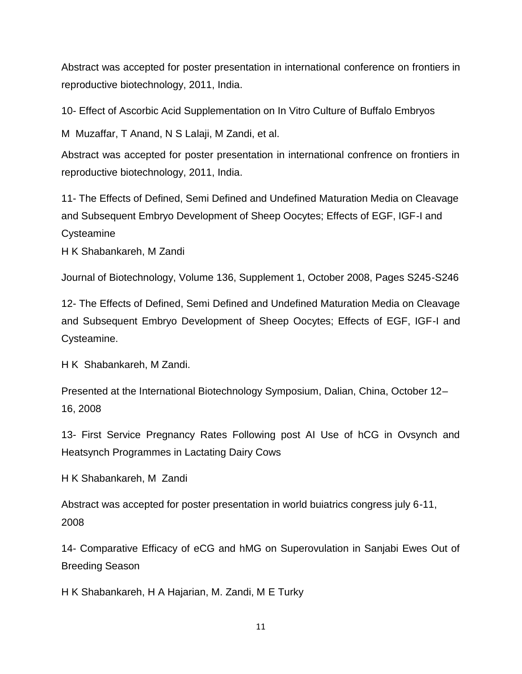Abstract was accepted for poster presentation in international conference on frontiers in reproductive biotechnology, 2011, India.

10- Effect of Ascorbic Acid Supplementation on In Vitro Culture of Buffalo Embryos

M Muzaffar, T Anand, N S Lalaji, M Zandi, et al.

Abstract was accepted for poster presentation in international confrence on frontiers in reproductive biotechnology, 2011, India.

11- The Effects of Defined, Semi Defined and Undefined Maturation Media on Cleavage and Subsequent Embryo Development of Sheep Oocytes; Effects of EGF, IGF-I and Cysteamine

H K Shabankareh, M Zandi

Journal of Biotechnology, Volume 136, Supplement 1, October 2008, Pages S245-S246

12- The Effects of Defined, Semi Defined and Undefined Maturation Media on Cleavage and Subsequent Embryo Development of Sheep Oocytes; Effects of EGF, IGF-I and Cysteamine.

H K Shabankareh, M Zandi.

Presented at the International Biotechnology Symposium, Dalian, China, October 12– 16, 2008

13- First Service Pregnancy Rates Following post AI Use of hCG in Ovsynch and Heatsynch Programmes in Lactating Dairy Cows

H K Shabankareh, M Zandi

Abstract was accepted for poster presentation in world buiatrics congress july 6-11, 2008

14- Comparative Efficacy of eCG and hMG on Superovulation in Sanjabi Ewes Out of Breeding Season

H K Shabankareh, H A Hajarian, M. Zandi, M E Turky